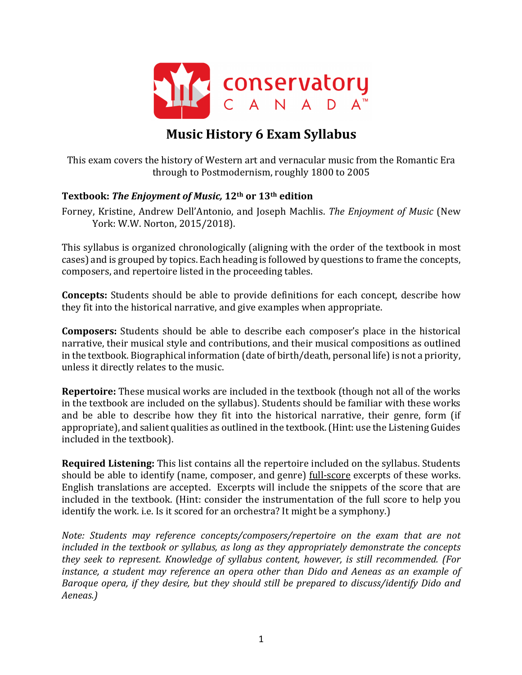

# **Music History 6 Exam Syllabus**

This exam covers the history of Western art and vernacular music from the Romantic Era through to Postmodernism, roughly 1800 to 2005

### **Textbook: The Enjoyment of Music, 12<sup>th</sup> or 13<sup>th</sup> edition**

Forney, Kristine, Andrew Dell'Antonio, and Joseph Machlis. The Enjoyment of Music (New York: W.W. Norton, 2015/2018).

This syllabus is organized chronologically (aligning with the order of the textbook in most cases) and is grouped by topics. Each heading is followed by questions to frame the concepts, composers, and repertoire listed in the proceeding tables.

**Concepts:** Students should be able to provide definitions for each concept, describe how they fit into the historical narrative, and give examples when appropriate.

**Composers:** Students should be able to describe each composer's place in the historical narrative, their musical style and contributions, and their musical compositions as outlined in the textbook. Biographical information (date of birth/death, personal life) is not a priority, unless it directly relates to the music.

**Repertoire:** These musical works are included in the textbook (though not all of the works in the textbook are included on the syllabus). Students should be familiar with these works and be able to describe how they fit into the historical narrative, their genre, form (if appropriate), and salient qualities as outlined in the textbook. (Hint: use the Listening Guides included in the textbook).

**Required Listening:** This list contains all the repertoire included on the syllabus. Students should be able to identify (name, composer, and genre) full-score excerpts of these works. English translations are accepted. Excerpts will include the snippets of the score that are included in the textbook. (Hint: consider the instrumentation of the full score to help you identify the work. i.e. Is it scored for an orchestra? It might be a symphony.)

*Note: Students may reference concepts/composers/repertoire on the exam that are not included* in the textbook or syllabus, as long as they appropriately demonstrate the concepts *they seek to represent. Knowledge of syllabus content, however, is still recommended. (For instance, a student may reference an opera other than Dido and Aeneas as an example of Baroque* opera, if they desire, but they should still be prepared to discuss/identify Dido and *Aeneas.)*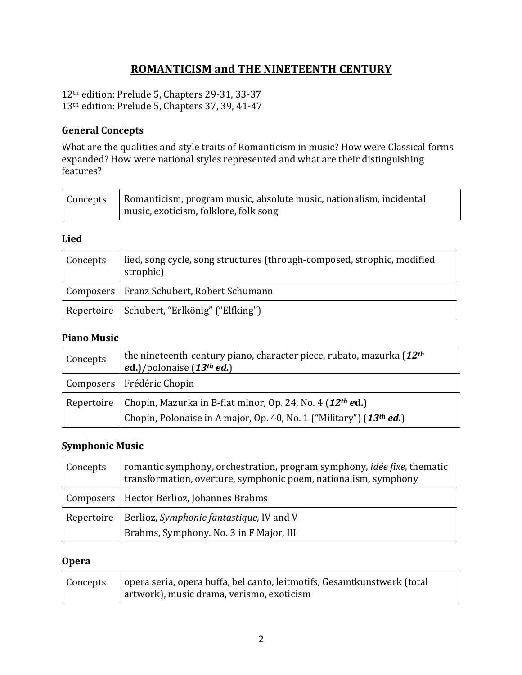## **ROMANTICISM and THE NINETEENTH CENTURY**

12<sup>th</sup> edition: Prelude 5, Chapters 29-31, 33-37 13<sup>th</sup> edition: Prelude 5, Chapters 37, 39, 41-47

### **General Concepts**

What are the qualities and style traits of Romanticism in music? How were Classical forms expanded? How were national styles represented and what are their distinguishing features?

| Concepts   Romanticism, program music, absolute music, nationalism, incidental |
|--------------------------------------------------------------------------------|
| music, exoticism, folklore, folk song                                          |

#### **Lied**

| Concepts | lied, song cycle, song structures (through-composed, strophic, modified<br>strophic) |
|----------|--------------------------------------------------------------------------------------|
|          | Composers   Franz Schubert, Robert Schumann                                          |
|          | Repertoire   Schubert, "Erlkönig" ("Elfking")                                        |

### **Piano Music**

| Concepts | the nineteenth-century piano, character piece, rubato, mazurka (12 <sup>th</sup> )<br>ed.)/polonaise $(13th$ ed.) |
|----------|-------------------------------------------------------------------------------------------------------------------|
|          | Composers   Frédéric Chopin                                                                                       |
|          | Repertoire   Chopin, Mazurka in B-flat minor, Op. 24, No. 4 (12 <sup>th</sup> ed.)                                |
|          | Chopin, Polonaise in A major, Op. 40, No. 1 ("Military") (13 <sup>th</sup> ed.)                                   |

### **Symphonic Music**

| Concepts   | romantic symphony, orchestration, program symphony, <i>idée fixe</i> , thematic<br>transformation, overture, symphonic poem, nationalism, symphony |
|------------|----------------------------------------------------------------------------------------------------------------------------------------------------|
|            | Composers   Hector Berlioz, Johannes Brahms                                                                                                        |
| Repertoire | Berlioz, Symphonie fantastique, IV and V                                                                                                           |
|            | Brahms, Symphony. No. 3 in F Major, III                                                                                                            |

### **Opera**

| Concepts | opera seria, opera buffa, bel canto, leitmotifs, Gesamtkunstwerk (total |
|----------|-------------------------------------------------------------------------|
|          | artwork), music drama, verismo, exoticism                               |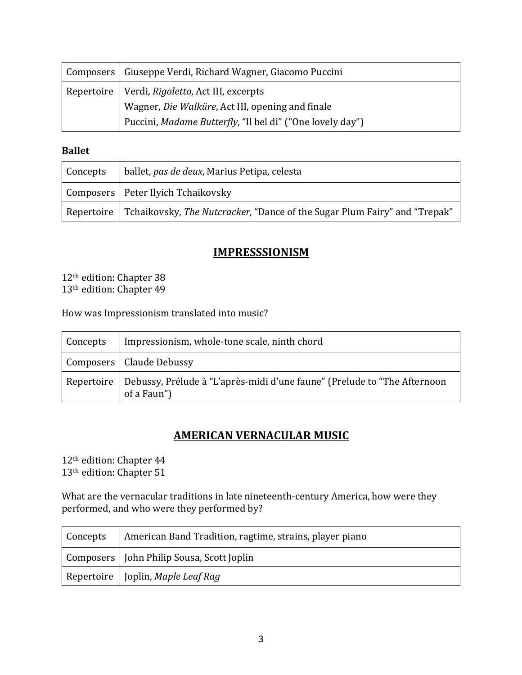| Composers   Giuseppe Verdi, Richard Wagner, Giacomo Puccini |
|-------------------------------------------------------------|
| Repertoire   Verdi, Rigoletto, Act III, excerpts            |
| Wagner, Die Walküre, Act III, opening and finale            |
| Puccini, Madame Butterfly, "Il bel dì" ("One lovely day")   |

**Ballet**

| Concepts | ballet, pas de deux, Marius Petipa, celesta                                                         |
|----------|-----------------------------------------------------------------------------------------------------|
|          | Composers   Peter Ilyich Tchaikovsky                                                                |
|          | $\,$ Repertoire   Tchaikovsky, <i>The Nutcracker</i> , "Dance of the Sugar Plum Fairy" and "Trepak" |

## **IMPRESSSIONISM**

12<sup>th</sup> edition: Chapter 38 13<sup>th</sup> edition: Chapter 49

How was Impressionism translated into music?

| Concepts | Impressionism, whole-tone scale, ninth chord                                                         |
|----------|------------------------------------------------------------------------------------------------------|
|          | Composers   Claude Debussy                                                                           |
|          | Repertoire   Debussy, Prélude à "L'après-midi d'une faune" (Prelude to "The Afternoon<br>of a Faun") |

### **AMERICAN VERNACULAR MUSIC**

 $12^{\rm th}$ edition: Chapter 44 13<sup>th</sup> edition: Chapter 51

What are the vernacular traditions in late nineteenth-century America, how were they performed, and who were they performed by?

| Concepts | American Band Tradition, ragtime, strains, player piano |
|----------|---------------------------------------------------------|
|          | Composers   John Philip Sousa, Scott Joplin             |
|          | Repertoire   Joplin, Maple Leaf Rag                     |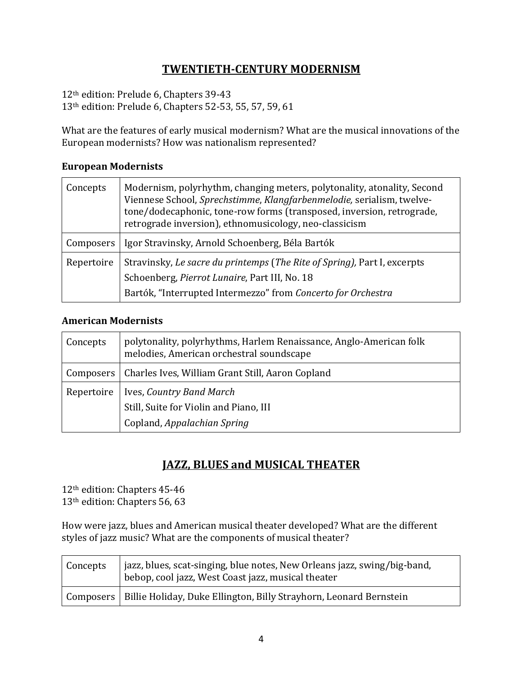## **TWENTIETH-CENTURY MODERNISM**

12<sup>th</sup> edition: Prelude 6, Chapters 39-43  $13<sup>th</sup>$  edition: Prelude 6, Chapters 52-53, 55, 57, 59, 61

What are the features of early musical modernism? What are the musical innovations of the European modernists? How was nationalism represented?

| Concepts   | Modernism, polyrhythm, changing meters, polytonality, atonality, Second<br>Viennese School, Sprechstimme, Klangfarbenmelodie, serialism, twelve-<br>tone/dodecaphonic, tone-row forms (transposed, inversion, retrograde,<br>retrograde inversion), ethnomusicology, neo-classicism |
|------------|-------------------------------------------------------------------------------------------------------------------------------------------------------------------------------------------------------------------------------------------------------------------------------------|
| Composers  | Igor Stravinsky, Arnold Schoenberg, Béla Bartók                                                                                                                                                                                                                                     |
| Repertoire | Stravinsky, Le sacre du printemps (The Rite of Spring), Part I, excerpts<br>Schoenberg, Pierrot Lunaire, Part III, No. 18                                                                                                                                                           |
|            | Bartók, "Interrupted Intermezzo" from Concerto for Orchestra                                                                                                                                                                                                                        |

### **European Modernists**

#### **American Modernists**

| Concepts   | polytonality, polyrhythms, Harlem Renaissance, Anglo-American folk<br>melodies, American orchestral soundscape |
|------------|----------------------------------------------------------------------------------------------------------------|
|            | Composers   Charles Ives, William Grant Still, Aaron Copland                                                   |
| Repertoire | Ives, Country Band March                                                                                       |
|            | Still, Suite for Violin and Piano, III                                                                         |
|            | Copland, Appalachian Spring                                                                                    |

### **JAZZ, BLUES and MUSICAL THEATER**

12<sup>th</sup> edition: Chapters 45-46 13<sup>th</sup> edition: Chapters 56, 63

How were jazz, blues and American musical theater developed? What are the different styles of jazz music? What are the components of musical theater?

| <b>Concepts</b> | ∣ jazz, blues, scat-singing, blue notes, New Orleans jazz, swing/big-band,<br>bebop, cool jazz, West Coast jazz, musical theater |
|-----------------|----------------------------------------------------------------------------------------------------------------------------------|
|                 | Composers   Billie Holiday, Duke Ellington, Billy Strayhorn, Leonard Bernstein                                                   |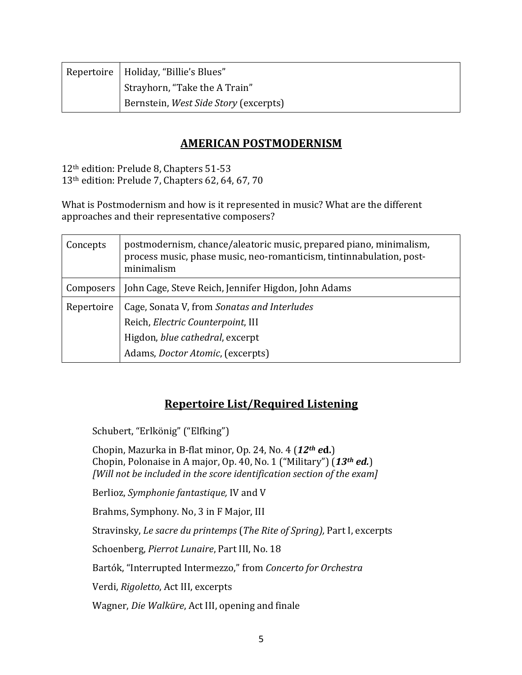| Repertoire   Holiday, "Billie's Blues" |
|----------------------------------------|
| Strayhorn, "Take the A Train"          |
| Bernstein, West Side Story (excerpts)  |

### **AMERICAN POSTMODERNISM**

12<sup>th</sup> edition: Prelude 8, Chapters 51-53 13<sup>th</sup> edition: Prelude 7, Chapters 62, 64, 67, 70

What is Postmodernism and how is it represented in music? What are the different approaches and their representative composers?

| Concepts   | postmodernism, chance/aleatoric music, prepared piano, minimalism,<br>process music, phase music, neo-romanticism, tintinnabulation, post-<br>minimalism        |
|------------|-----------------------------------------------------------------------------------------------------------------------------------------------------------------|
| Composers  | John Cage, Steve Reich, Jennifer Higdon, John Adams                                                                                                             |
| Repertoire | Cage, Sonata V, from Sonatas and Interludes<br>Reich, Electric Counterpoint, III<br>Higdon, blue cathedral, excerpt<br>Adams, <i>Doctor Atomic</i> , (excerpts) |

## **Repertoire List/Required Listening**

Schubert, "Erlkönig" ("Elfking")

Chopin, Mazurka in B-flat minor, Op. 24, No. 4 (12<sup>th</sup> *ed.*) Chopin, Polonaise in A major, Op. 40, No. 1 ("Military") (13<sup>th</sup> *ed.*) *[Will not be included in the score identification section of the exam]* 

Berlioz, *Symphonie fantastique*, *IV* and *V* 

Brahms, Symphony. No, 3 in F Major, III

Stravinsky, *Le sacre du printemps* (*The Rite of Spring*), Part I, excerpts

Schoenberg, *Pierrot Lunaire*, Part III, No. 18

Bartók, "Interrupted Intermezzo," from *Concerto for Orchestra* 

Verdi, *Rigoletto*, Act III, excerpts

Wagner, *Die Walküre*, Act III, opening and finale